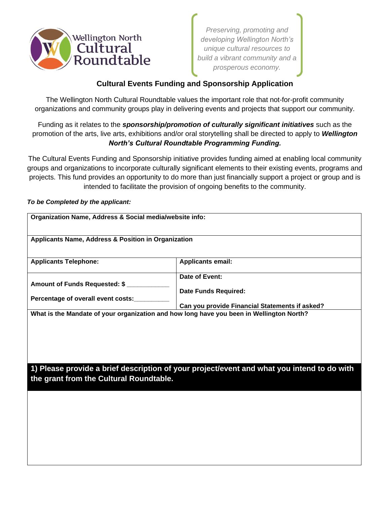

*Preserving, promoting and developing Wellington North's unique cultural resources to build a vibrant community and a prosperous economy.* 

## **Cultural Events Funding and Sponsorship Application**

The Wellington North Cultural Roundtable values the important role that not-for-profit community organizations and community groups play in delivering events and projects that support our community.

Funding as it relates to the *sponsorship/promotion of culturally significant initiatives* such as the promotion of the arts, live arts, exhibitions and/or oral storytelling shall be directed to apply to *Wellington North's Cultural Roundtable Programming Funding.*

The Cultural Events Funding and Sponsorship initiative provides funding aimed at enabling local community groups and organizations to incorporate culturally significant elements to their existing events, programs and projects. This fund provides an opportunity to do more than just financially support a project or group and is intended to facilitate the provision of ongoing benefits to the community.

## *To be Completed by the applicant:*

| Organization Name, Address & Social media/website info:                                                                               |                                                |  |
|---------------------------------------------------------------------------------------------------------------------------------------|------------------------------------------------|--|
| <b>Applicants Name, Address &amp; Position in Organization</b>                                                                        |                                                |  |
| <b>Applicants Telephone:</b>                                                                                                          | <b>Applicants email:</b>                       |  |
| Amount of Funds Requested: \$                                                                                                         | Date of Event:<br><b>Date Funds Required:</b>  |  |
| Percentage of overall event costs:                                                                                                    | Can you provide Financial Statements if asked? |  |
| What is the Mandate of your organization and how long have you been in Wellington North?                                              |                                                |  |
| 1) Please provide a brief description of your project/event and what you intend to do with<br>the grant from the Cultural Roundtable. |                                                |  |
|                                                                                                                                       |                                                |  |
|                                                                                                                                       |                                                |  |
|                                                                                                                                       |                                                |  |
|                                                                                                                                       |                                                |  |